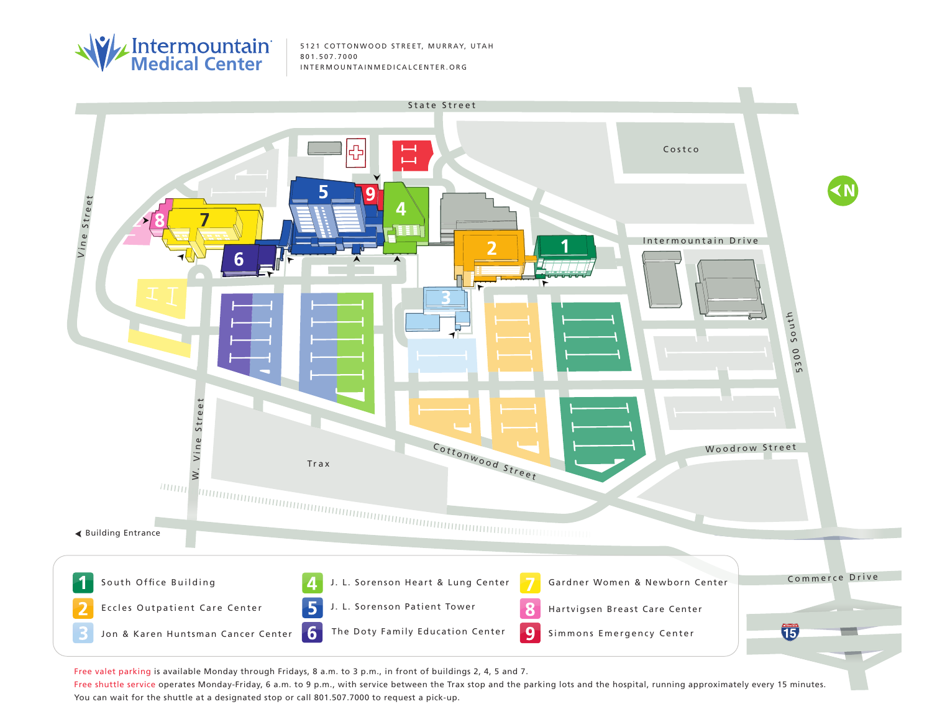

5121 COTTONWOOD STREET, MURRAY, UTAH



Free valet parking is available Monday through Fridays, 8 a.m. to 3 p.m., in front of buildings 2, 4, 5 and 7.

Free shuttle service operates Monday-Friday, 6 a.m. to 9 p.m., with service between the Trax stop and the parking lots and the hospital, running approximately every 15 minutes. You can wait for the shuttle at a designated stop or call 801.507.7000 to request a pick-up.